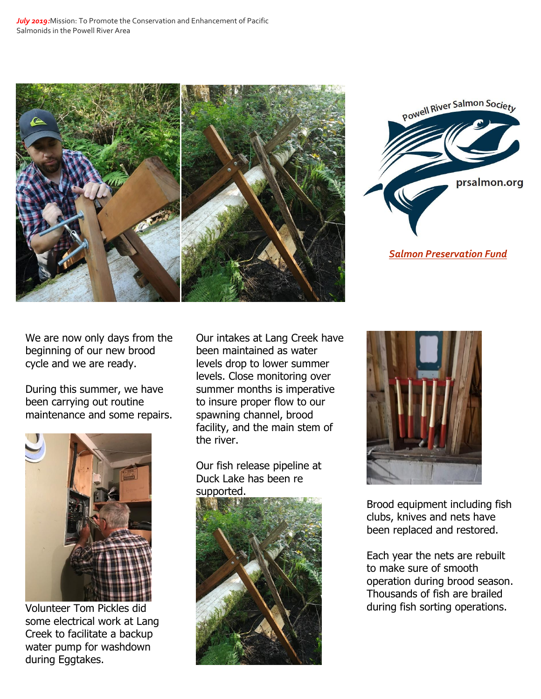



*[Salmon Preservation Fund](http://www.prsalmon.org/)*

We are now only days from the beginning of our new brood cycle and we are ready.

During this summer, we have been carrying out routine maintenance and some repairs.



Volunteer Tom Pickles did some electrical work at Lang Creek to facilitate a backup water pump for washdown during Eggtakes.

Our intakes at Lang Creek have been maintained as water levels drop to lower summer levels. Close monitoring over summer months is imperative to insure proper flow to our spawning channel, brood facility, and the main stem of the river.

Our fish release pipeline at Duck Lake has been re supported.





Brood equipment including fish clubs, knives and nets have been replaced and restored.

Each year the nets are rebuilt to make sure of smooth operation during brood season. Thousands of fish are brailed during fish sorting operations.